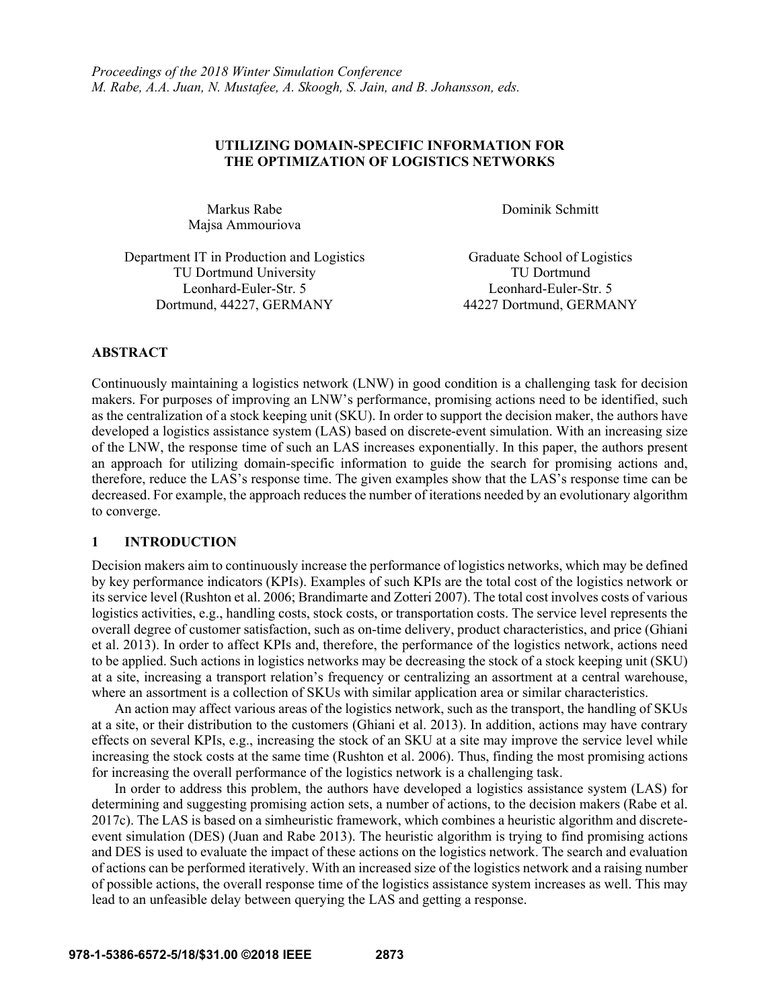# **UTILIZING DOMAIN-SPECIFIC INFORMATION FOR THE OPTIMIZATION OF LOGISTICS NETWORKS**

Majsa Ammouriova

Markus Rabe Dominik Schmitt

| Department IT in Production and Logistics |  |
|-------------------------------------------|--|
| <b>TU Dortmund University</b>             |  |
| Leonhard-Euler-Str. 5                     |  |
| Dortmund, 44227, GERMANY                  |  |

Graduate School of Logistics TU Dortmund Leonhard-Euler-Str. 5 Dortmund, 44227, GERMANY 44227 Dortmund, GERMANY

# **ABSTRACT**

Continuously maintaining a logistics network (LNW) in good condition is a challenging task for decision makers. For purposes of improving an LNW's performance, promising actions need to be identified, such as the centralization of a stock keeping unit (SKU). In order to support the decision maker, the authors have developed a logistics assistance system (LAS) based on discrete-event simulation. With an increasing size of the LNW, the response time of such an LAS increases exponentially. In this paper, the authors present an approach for utilizing domain-specific information to guide the search for promising actions and, therefore, reduce the LAS's response time. The given examples show that the LAS's response time can be decreased. For example, the approach reduces the number of iterations needed by an evolutionary algorithm to converge.

# **1 INTRODUCTION**

Decision makers aim to continuously increase the performance of logistics networks, which may be defined by key performance indicators (KPIs). Examples of such KPIs are the total cost of the logistics network or its service level (Rushton et al. 2006; Brandimarte and Zotteri 2007). The total cost involves costs of various logistics activities, e.g., handling costs, stock costs, or transportation costs. The service level represents the overall degree of customer satisfaction, such as on-time delivery, product characteristics, and price (Ghiani et al. 2013). In order to affect KPIs and, therefore, the performance of the logistics network, actions need to be applied. Such actions in logistics networks may be decreasing the stock of a stock keeping unit (SKU) at a site, increasing a transport relation's frequency or centralizing an assortment at a central warehouse, where an assortment is a collection of SKUs with similar application area or similar characteristics.

An action may affect various areas of the logistics network, such as the transport, the handling of SKUs at a site, or their distribution to the customers (Ghiani et al. 2013). In addition, actions may have contrary effects on several KPIs, e.g., increasing the stock of an SKU at a site may improve the service level while increasing the stock costs at the same time (Rushton et al. 2006). Thus, finding the most promising actions for increasing the overall performance of the logistics network is a challenging task.

In order to address this problem, the authors have developed a logistics assistance system (LAS) for determining and suggesting promising action sets, a number of actions, to the decision makers (Rabe et al. 2017c). The LAS is based on a simheuristic framework, which combines a heuristic algorithm and discreteevent simulation (DES) (Juan and Rabe 2013). The heuristic algorithm is trying to find promising actions and DES is used to evaluate the impact of these actions on the logistics network. The search and evaluation of actions can be performed iteratively. With an increased size of the logistics network and a raising number of possible actions, the overall response time of the logistics assistance system increases as well. This may lead to an unfeasible delay between querying the LAS and getting a response.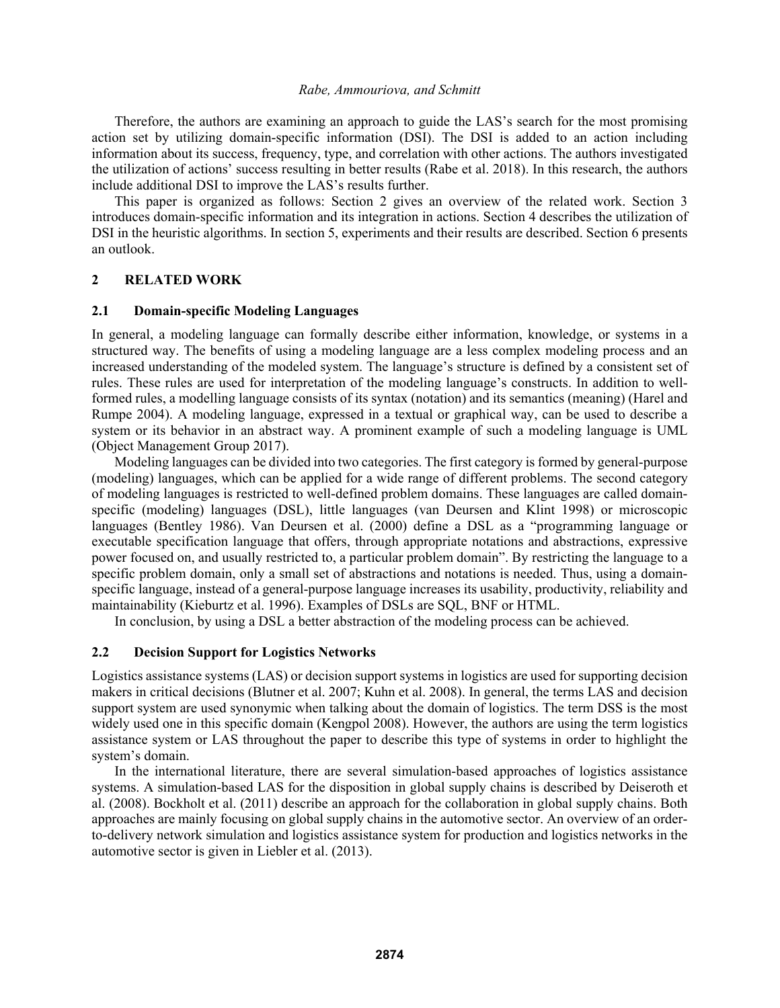Therefore, the authors are examining an approach to guide the LAS's search for the most promising action set by utilizing domain-specific information (DSI). The DSI is added to an action including information about its success, frequency, type, and correlation with other actions. The authors investigated the utilization of actions' success resulting in better results (Rabe et al. 2018). In this research, the authors include additional DSI to improve the LAS's results further.

This paper is organized as follows: Section 2 gives an overview of the related work. Section 3 introduces domain-specific information and its integration in actions. Section 4 describes the utilization of DSI in the heuristic algorithms. In section 5, experiments and their results are described. Section 6 presents an outlook.

## **2 RELATED WORK**

### **2.1 Domain-specific Modeling Languages**

In general, a modeling language can formally describe either information, knowledge, or systems in a structured way. The benefits of using a modeling language are a less complex modeling process and an increased understanding of the modeled system. The language's structure is defined by a consistent set of rules. These rules are used for interpretation of the modeling language's constructs. In addition to wellformed rules, a modelling language consists of its syntax (notation) and its semantics (meaning) (Harel and Rumpe 2004). A modeling language, expressed in a textual or graphical way, can be used to describe a system or its behavior in an abstract way. A prominent example of such a modeling language is UML (Object Management Group 2017).

Modeling languages can be divided into two categories. The first category is formed by general-purpose (modeling) languages, which can be applied for a wide range of different problems. The second category of modeling languages is restricted to well-defined problem domains. These languages are called domainspecific (modeling) languages (DSL), little languages (van Deursen and Klint 1998) or microscopic languages (Bentley 1986). Van Deursen et al. (2000) define a DSL as a "programming language or executable specification language that offers, through appropriate notations and abstractions, expressive power focused on, and usually restricted to, a particular problem domain". By restricting the language to a specific problem domain, only a small set of abstractions and notations is needed. Thus, using a domainspecific language, instead of a general-purpose language increases its usability, productivity, reliability and maintainability (Kieburtz et al. 1996). Examples of DSLs are SQL, BNF or HTML.

In conclusion, by using a DSL a better abstraction of the modeling process can be achieved.

## **2.2 Decision Support for Logistics Networks**

Logistics assistance systems (LAS) or decision support systems in logistics are used for supporting decision makers in critical decisions (Blutner et al. 2007; Kuhn et al. 2008). In general, the terms LAS and decision support system are used synonymic when talking about the domain of logistics. The term DSS is the most widely used one in this specific domain (Kengpol 2008). However, the authors are using the term logistics assistance system or LAS throughout the paper to describe this type of systems in order to highlight the system's domain.

In the international literature, there are several simulation-based approaches of logistics assistance systems. A simulation-based LAS for the disposition in global supply chains is described by Deiseroth et al. (2008). Bockholt et al. (2011) describe an approach for the collaboration in global supply chains. Both approaches are mainly focusing on global supply chains in the automotive sector. An overview of an orderto-delivery network simulation and logistics assistance system for production and logistics networks in the automotive sector is given in Liebler et al. (2013).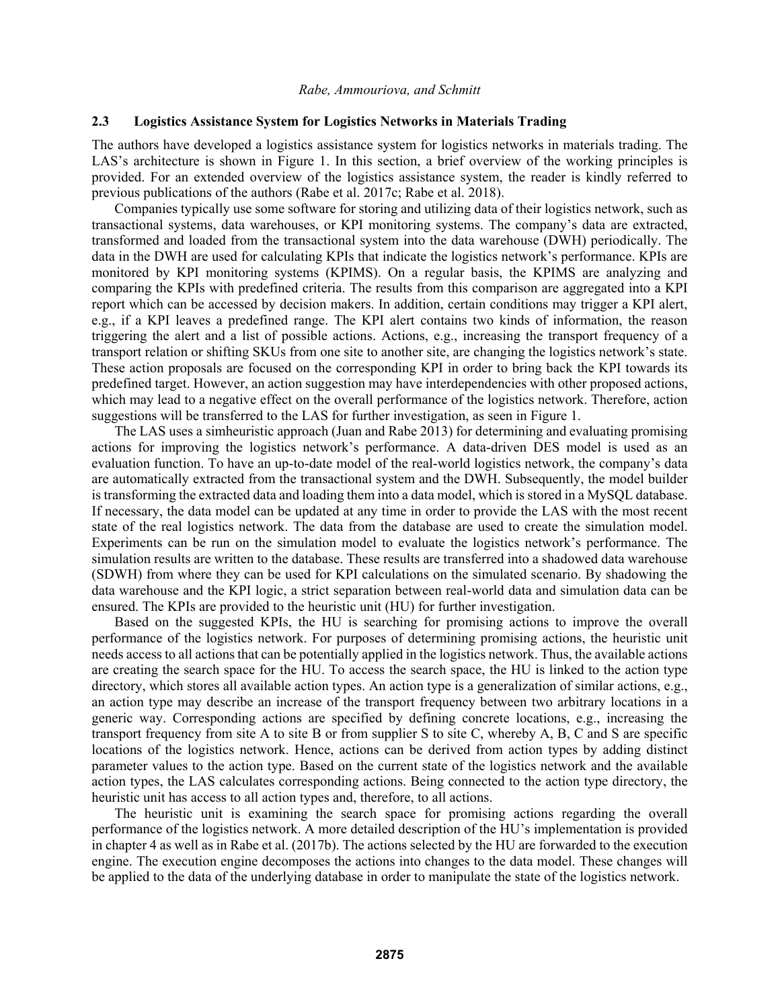## **2.3 Logistics Assistance System for Logistics Networks in Materials Trading**

The authors have developed a logistics assistance system for logistics networks in materials trading. The LAS's architecture is shown in Figure 1. In this section, a brief overview of the working principles is provided. For an extended overview of the logistics assistance system, the reader is kindly referred to previous publications of the authors (Rabe et al. 2017c; Rabe et al. 2018).

Companies typically use some software for storing and utilizing data of their logistics network, such as transactional systems, data warehouses, or KPI monitoring systems. The company's data are extracted, transformed and loaded from the transactional system into the data warehouse (DWH) periodically. The data in the DWH are used for calculating KPIs that indicate the logistics network's performance. KPIs are monitored by KPI monitoring systems (KPIMS). On a regular basis, the KPIMS are analyzing and comparing the KPIs with predefined criteria. The results from this comparison are aggregated into a KPI report which can be accessed by decision makers. In addition, certain conditions may trigger a KPI alert, e.g., if a KPI leaves a predefined range. The KPI alert contains two kinds of information, the reason triggering the alert and a list of possible actions. Actions, e.g., increasing the transport frequency of a transport relation or shifting SKUs from one site to another site, are changing the logistics network's state. These action proposals are focused on the corresponding KPI in order to bring back the KPI towards its predefined target. However, an action suggestion may have interdependencies with other proposed actions, which may lead to a negative effect on the overall performance of the logistics network. Therefore, action suggestions will be transferred to the LAS for further investigation, as seen in Figure 1.

The LAS uses a simheuristic approach (Juan and Rabe 2013) for determining and evaluating promising actions for improving the logistics network's performance. A data-driven DES model is used as an evaluation function. To have an up-to-date model of the real-world logistics network, the company's data are automatically extracted from the transactional system and the DWH. Subsequently, the model builder is transforming the extracted data and loading them into a data model, which is stored in a MySQL database. If necessary, the data model can be updated at any time in order to provide the LAS with the most recent state of the real logistics network. The data from the database are used to create the simulation model. Experiments can be run on the simulation model to evaluate the logistics network's performance. The simulation results are written to the database. These results are transferred into a shadowed data warehouse (SDWH) from where they can be used for KPI calculations on the simulated scenario. By shadowing the data warehouse and the KPI logic, a strict separation between real-world data and simulation data can be ensured. The KPIs are provided to the heuristic unit (HU) for further investigation.

Based on the suggested KPIs, the HU is searching for promising actions to improve the overall performance of the logistics network. For purposes of determining promising actions, the heuristic unit needs access to all actions that can be potentially applied in the logistics network. Thus, the available actions are creating the search space for the HU. To access the search space, the HU is linked to the action type directory, which stores all available action types. An action type is a generalization of similar actions, e.g., an action type may describe an increase of the transport frequency between two arbitrary locations in a generic way. Corresponding actions are specified by defining concrete locations, e.g., increasing the transport frequency from site A to site B or from supplier S to site C, whereby A, B, C and S are specific locations of the logistics network. Hence, actions can be derived from action types by adding distinct parameter values to the action type. Based on the current state of the logistics network and the available action types, the LAS calculates corresponding actions. Being connected to the action type directory, the heuristic unit has access to all action types and, therefore, to all actions.

The heuristic unit is examining the search space for promising actions regarding the overall performance of the logistics network. A more detailed description of the HU's implementation is provided in chapter 4 as well as in Rabe et al. (2017b). The actions selected by the HU are forwarded to the execution engine. The execution engine decomposes the actions into changes to the data model. These changes will be applied to the data of the underlying database in order to manipulate the state of the logistics network.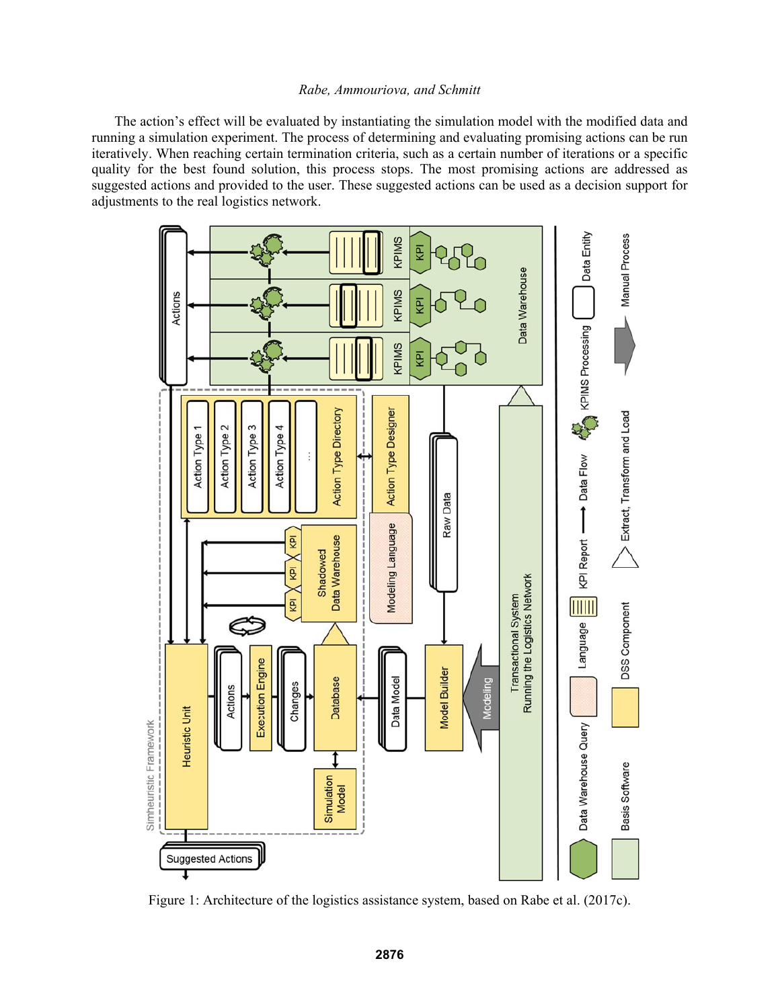The action's effect will be evaluated by instantiating the simulation model with the modified data and running a simulation experiment. The process of determining and evaluating promising actions can be run iteratively. When reaching certain termination criteria, such as a certain number of iterations or a specific quality for the best found solution, this process stops. The most promising actions are addressed as suggested actions and provided to the user. These suggested actions can be used as a decision support for adjustments to the real logistics network.



Figure 1: Architecture of the logistics assistance system, based on Rabe et al. (2017c).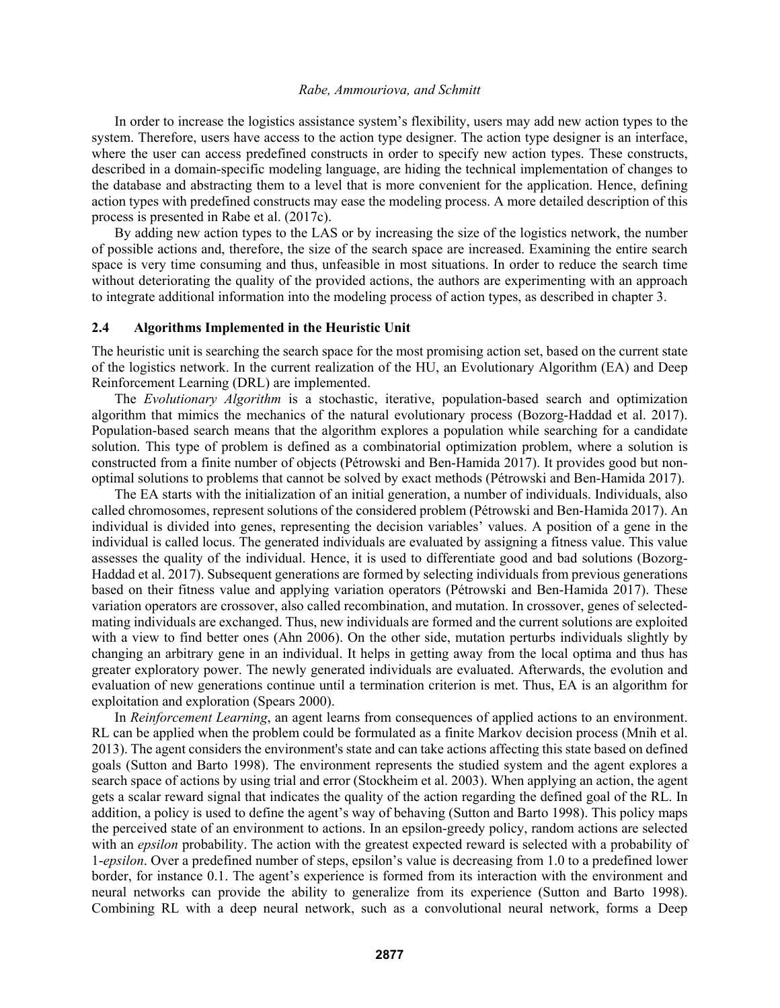In order to increase the logistics assistance system's flexibility, users may add new action types to the system. Therefore, users have access to the action type designer. The action type designer is an interface, where the user can access predefined constructs in order to specify new action types. These constructs, described in a domain-specific modeling language, are hiding the technical implementation of changes to the database and abstracting them to a level that is more convenient for the application. Hence, defining action types with predefined constructs may ease the modeling process. A more detailed description of this process is presented in Rabe et al. (2017c).

By adding new action types to the LAS or by increasing the size of the logistics network, the number of possible actions and, therefore, the size of the search space are increased. Examining the entire search space is very time consuming and thus, unfeasible in most situations. In order to reduce the search time without deteriorating the quality of the provided actions, the authors are experimenting with an approach to integrate additional information into the modeling process of action types, as described in chapter 3.

### **2.4 Algorithms Implemented in the Heuristic Unit**

The heuristic unit is searching the search space for the most promising action set, based on the current state of the logistics network. In the current realization of the HU, an Evolutionary Algorithm (EA) and Deep Reinforcement Learning (DRL) are implemented.

The *Evolutionary Algorithm* is a stochastic, iterative, population-based search and optimization algorithm that mimics the mechanics of the natural evolutionary process (Bozorg-Haddad et al. 2017). Population-based search means that the algorithm explores a population while searching for a candidate solution. This type of problem is defined as a combinatorial optimization problem, where a solution is constructed from a finite number of objects (Pétrowski and Ben-Hamida 2017). It provides good but nonoptimal solutions to problems that cannot be solved by exact methods (Pétrowski and Ben-Hamida 2017).

The EA starts with the initialization of an initial generation, a number of individuals. Individuals, also called chromosomes, represent solutions of the considered problem (Pétrowski and Ben-Hamida 2017). An individual is divided into genes, representing the decision variables' values. A position of a gene in the individual is called locus. The generated individuals are evaluated by assigning a fitness value. This value assesses the quality of the individual. Hence, it is used to differentiate good and bad solutions (Bozorg-Haddad et al. 2017). Subsequent generations are formed by selecting individuals from previous generations based on their fitness value and applying variation operators (Pétrowski and Ben-Hamida 2017). These variation operators are crossover, also called recombination, and mutation. In crossover, genes of selectedmating individuals are exchanged. Thus, new individuals are formed and the current solutions are exploited with a view to find better ones (Ahn 2006). On the other side, mutation perturbs individuals slightly by changing an arbitrary gene in an individual. It helps in getting away from the local optima and thus has greater exploratory power. The newly generated individuals are evaluated. Afterwards, the evolution and evaluation of new generations continue until a termination criterion is met. Thus, EA is an algorithm for exploitation and exploration (Spears 2000).

In *Reinforcement Learning*, an agent learns from consequences of applied actions to an environment. RL can be applied when the problem could be formulated as a finite Markov decision process (Mnih et al. 2013). The agent considers the environment's state and can take actions affecting this state based on defined goals (Sutton and Barto 1998). The environment represents the studied system and the agent explores a search space of actions by using trial and error (Stockheim et al. 2003). When applying an action, the agent gets a scalar reward signal that indicates the quality of the action regarding the defined goal of the RL. In addition, a policy is used to define the agent's way of behaving (Sutton and Barto 1998). This policy maps the perceived state of an environment to actions. In an epsilon-greedy policy, random actions are selected with an *epsilon* probability. The action with the greatest expected reward is selected with a probability of 1-*epsilon*. Over a predefined number of steps, epsilon's value is decreasing from 1.0 to a predefined lower border, for instance 0.1. The agent's experience is formed from its interaction with the environment and neural networks can provide the ability to generalize from its experience (Sutton and Barto 1998). Combining RL with a deep neural network, such as a convolutional neural network, forms a Deep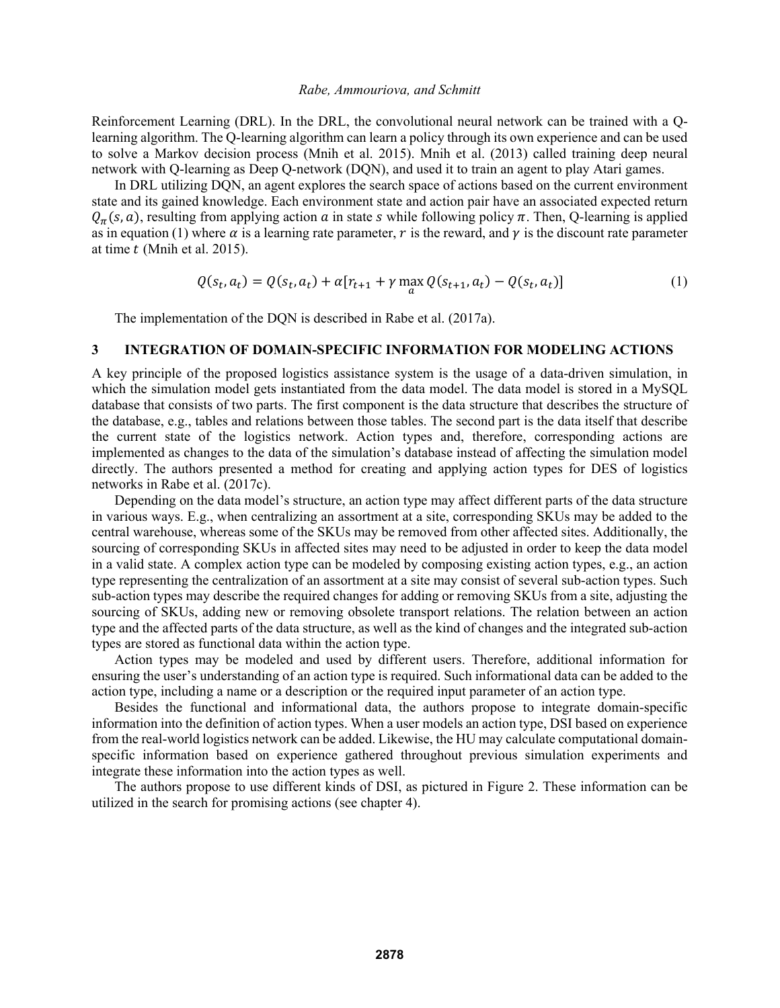Reinforcement Learning (DRL). In the DRL, the convolutional neural network can be trained with a Qlearning algorithm. The Q-learning algorithm can learn a policy through its own experience and can be used to solve a Markov decision process (Mnih et al. 2015). Mnih et al. (2013) called training deep neural network with Q-learning as Deep Q-network (DQN), and used it to train an agent to play Atari games.

In DRL utilizing DQN, an agent explores the search space of actions based on the current environment state and its gained knowledge. Each environment state and action pair have an associated expected return  $Q_{\pi}(s, a)$ , resulting from applying action a in state s while following policy  $\pi$ . Then, Q-learning is applied as in equation (1) where  $\alpha$  is a learning rate parameter, r is the reward, and  $\gamma$  is the discount rate parameter at time  $t$  (Mnih et al. 2015).

$$
Q(s_t, a_t) = Q(s_t, a_t) + \alpha [r_{t+1} + \gamma \max_{a} Q(s_{t+1}, a_t) - Q(s_t, a_t)]
$$
\n(1)

The implementation of the DQN is described in Rabe et al. (2017a).

## **3 INTEGRATION OF DOMAIN-SPECIFIC INFORMATION FOR MODELING ACTIONS**

A key principle of the proposed logistics assistance system is the usage of a data-driven simulation, in which the simulation model gets instantiated from the data model. The data model is stored in a MySQL database that consists of two parts. The first component is the data structure that describes the structure of the database, e.g., tables and relations between those tables. The second part is the data itself that describe the current state of the logistics network. Action types and, therefore, corresponding actions are implemented as changes to the data of the simulation's database instead of affecting the simulation model directly. The authors presented a method for creating and applying action types for DES of logistics networks in Rabe et al. (2017c).

Depending on the data model's structure, an action type may affect different parts of the data structure in various ways. E.g., when centralizing an assortment at a site, corresponding SKUs may be added to the central warehouse, whereas some of the SKUs may be removed from other affected sites. Additionally, the sourcing of corresponding SKUs in affected sites may need to be adjusted in order to keep the data model in a valid state. A complex action type can be modeled by composing existing action types, e.g., an action type representing the centralization of an assortment at a site may consist of several sub-action types. Such sub-action types may describe the required changes for adding or removing SKUs from a site, adjusting the sourcing of SKUs, adding new or removing obsolete transport relations. The relation between an action type and the affected parts of the data structure, as well as the kind of changes and the integrated sub-action types are stored as functional data within the action type.

Action types may be modeled and used by different users. Therefore, additional information for ensuring the user's understanding of an action type is required. Such informational data can be added to the action type, including a name or a description or the required input parameter of an action type.

Besides the functional and informational data, the authors propose to integrate domain-specific information into the definition of action types. When a user models an action type, DSI based on experience from the real-world logistics network can be added. Likewise, the HU may calculate computational domainspecific information based on experience gathered throughout previous simulation experiments and integrate these information into the action types as well.

The authors propose to use different kinds of DSI, as pictured in Figure 2. These information can be utilized in the search for promising actions (see chapter 4).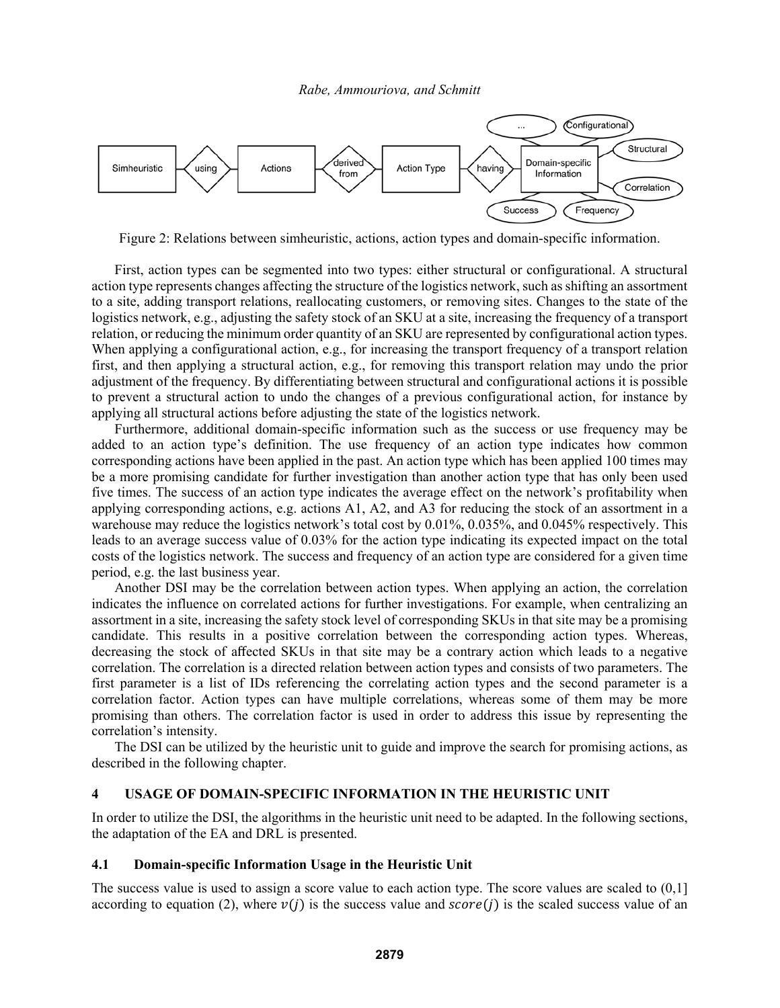

Figure 2: Relations between simheuristic, actions, action types and domain-specific information.

First, action types can be segmented into two types: either structural or configurational. A structural action type represents changes affecting the structure of the logistics network, such as shifting an assortment to a site, adding transport relations, reallocating customers, or removing sites. Changes to the state of the logistics network, e.g., adjusting the safety stock of an SKU at a site, increasing the frequency of a transport relation, or reducing the minimum order quantity of an SKU are represented by configurational action types. When applying a configurational action, e.g., for increasing the transport frequency of a transport relation first, and then applying a structural action, e.g., for removing this transport relation may undo the prior adjustment of the frequency. By differentiating between structural and configurational actions it is possible to prevent a structural action to undo the changes of a previous configurational action, for instance by applying all structural actions before adjusting the state of the logistics network.

Furthermore, additional domain-specific information such as the success or use frequency may be added to an action type's definition. The use frequency of an action type indicates how common corresponding actions have been applied in the past. An action type which has been applied 100 times may be a more promising candidate for further investigation than another action type that has only been used five times. The success of an action type indicates the average effect on the network's profitability when applying corresponding actions, e.g. actions A1, A2, and A3 for reducing the stock of an assortment in a warehouse may reduce the logistics network's total cost by 0.01%, 0.035%, and 0.045% respectively. This leads to an average success value of 0.03% for the action type indicating its expected impact on the total costs of the logistics network. The success and frequency of an action type are considered for a given time period, e.g. the last business year.

Another DSI may be the correlation between action types. When applying an action, the correlation indicates the influence on correlated actions for further investigations. For example, when centralizing an assortment in a site, increasing the safety stock level of corresponding SKUs in that site may be a promising candidate. This results in a positive correlation between the corresponding action types. Whereas, decreasing the stock of affected SKUs in that site may be a contrary action which leads to a negative correlation. The correlation is a directed relation between action types and consists of two parameters. The first parameter is a list of IDs referencing the correlating action types and the second parameter is a correlation factor. Action types can have multiple correlations, whereas some of them may be more promising than others. The correlation factor is used in order to address this issue by representing the correlation's intensity.

The DSI can be utilized by the heuristic unit to guide and improve the search for promising actions, as described in the following chapter.

# **4 USAGE OF DOMAIN-SPECIFIC INFORMATION IN THE HEURISTIC UNIT**

In order to utilize the DSI, the algorithms in the heuristic unit need to be adapted. In the following sections, the adaptation of the EA and DRL is presented.

#### **4.1 Domain-specific Information Usage in the Heuristic Unit**

The success value is used to assign a score value to each action type. The score values are scaled to  $(0,1]$ according to equation (2), where  $v(i)$  is the success value and  $score(i)$  is the scaled success value of an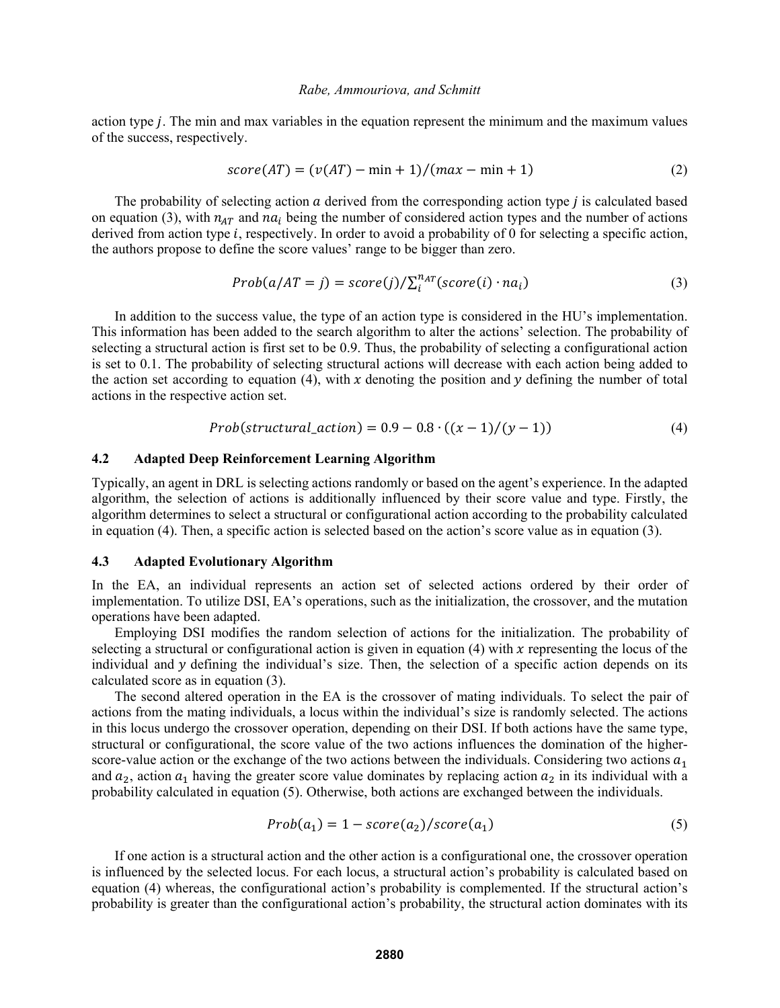action type  $j$ . The min and max variables in the equation represent the minimum and the maximum values of the success, respectively.

$$
score(AT) = (v(AT) - min + 1)/(max - min + 1)
$$
\n(2)

The probability of selecting action  $a$  derived from the corresponding action type  $j$  is calculated based on equation (3), with  $n_{AT}$  and  $na_i$  being the number of considered action types and the number of actions derived from action type  $i$ , respectively. In order to avoid a probability of 0 for selecting a specific action, the authors propose to define the score values' range to be bigger than zero.

$$
Prob(a/AT = j) = score(j)/\sum_{i}^{n_{AT}}(score(i) \cdot na_{i})
$$
\n(3)

In addition to the success value, the type of an action type is considered in the HU's implementation. This information has been added to the search algorithm to alter the actions' selection. The probability of selecting a structural action is first set to be 0.9. Thus, the probability of selecting a configurational action is set to 0.1. The probability of selecting structural actions will decrease with each action being added to the action set according to equation (4), with x denoting the position and  $\gamma$  defining the number of total actions in the respective action set.

$$
Prob(structural\_action) = 0.9 - 0.8 \cdot ((x - 1)/(y - 1)) \tag{4}
$$

#### **4.2 Adapted Deep Reinforcement Learning Algorithm**

Typically, an agent in DRL is selecting actions randomly or based on the agent's experience. In the adapted algorithm, the selection of actions is additionally influenced by their score value and type. Firstly, the algorithm determines to select a structural or configurational action according to the probability calculated in equation (4). Then, a specific action is selected based on the action's score value as in equation (3).

#### **4.3 Adapted Evolutionary Algorithm**

In the EA, an individual represents an action set of selected actions ordered by their order of implementation. To utilize DSI, EA's operations, such as the initialization, the crossover, and the mutation operations have been adapted.

Employing DSI modifies the random selection of actions for the initialization. The probability of selecting a structural or configurational action is given in equation (4) with  $x$  representing the locus of the individual and  $y$  defining the individual's size. Then, the selection of a specific action depends on its calculated score as in equation (3).

The second altered operation in the EA is the crossover of mating individuals. To select the pair of actions from the mating individuals, a locus within the individual's size is randomly selected. The actions in this locus undergo the crossover operation, depending on their DSI. If both actions have the same type, structural or configurational, the score value of the two actions influences the domination of the higherscore-value action or the exchange of the two actions between the individuals. Considering two actions  $a_1$ and  $a_2$ , action  $a_1$  having the greater score value dominates by replacing action  $a_2$  in its individual with a probability calculated in equation (5). Otherwise, both actions are exchanged between the individuals.

$$
Prob(a_1) = 1 - score(a_2) / score(a_1)
$$
\n(5)

If one action is a structural action and the other action is a configurational one, the crossover operation is influenced by the selected locus. For each locus, a structural action's probability is calculated based on equation (4) whereas, the configurational action's probability is complemented. If the structural action's probability is greater than the configurational action's probability, the structural action dominates with its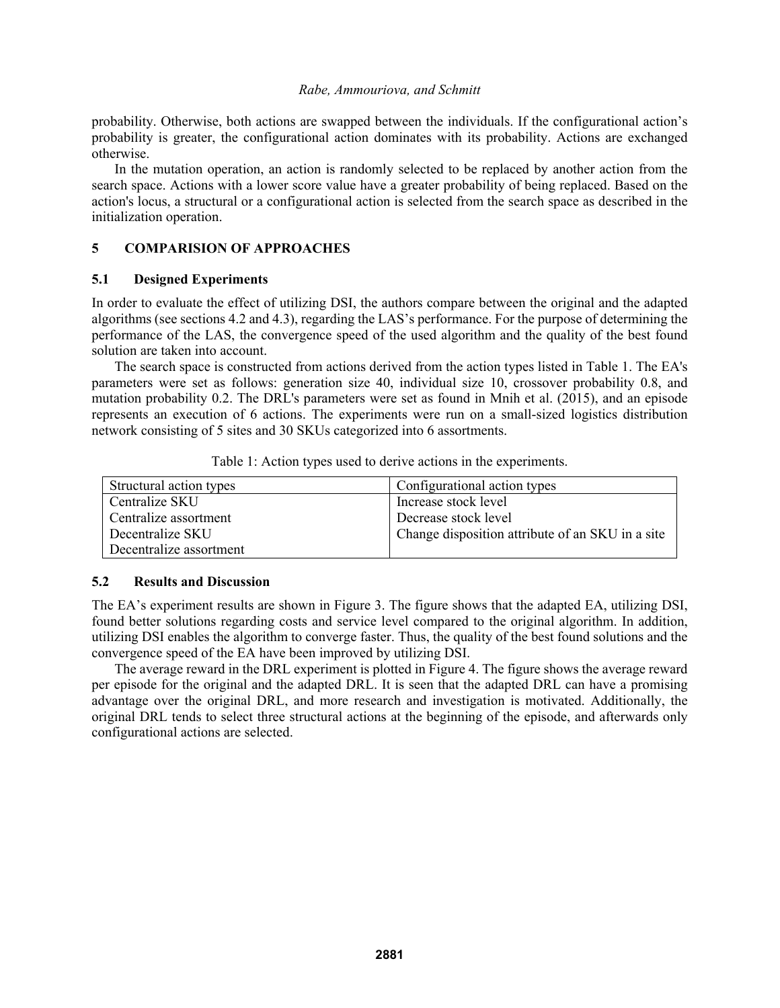probability. Otherwise, both actions are swapped between the individuals. If the configurational action's probability is greater, the configurational action dominates with its probability. Actions are exchanged otherwise.

In the mutation operation, an action is randomly selected to be replaced by another action from the search space. Actions with a lower score value have a greater probability of being replaced. Based on the action's locus, a structural or a configurational action is selected from the search space as described in the initialization operation.

# **5 COMPARISION OF APPROACHES**

### **5.1 Designed Experiments**

In order to evaluate the effect of utilizing DSI, the authors compare between the original and the adapted algorithms (see sections 4.2 and 4.3), regarding the LAS's performance. For the purpose of determining the performance of the LAS, the convergence speed of the used algorithm and the quality of the best found solution are taken into account.

The search space is constructed from actions derived from the action types listed in Table 1. The EA's parameters were set as follows: generation size 40, individual size 10, crossover probability 0.8, and mutation probability 0.2. The DRL's parameters were set as found in Mnih et al. (2015), and an episode represents an execution of 6 actions. The experiments were run on a small-sized logistics distribution network consisting of 5 sites and 30 SKUs categorized into 6 assortments.

|  |  |  | Table 1: Action types used to derive actions in the experiments. |
|--|--|--|------------------------------------------------------------------|
|  |  |  |                                                                  |
|  |  |  |                                                                  |

| Structural action types | Configurational action types                     |
|-------------------------|--------------------------------------------------|
| Centralize SKU          | Increase stock level                             |
| Centralize assortment   | Decrease stock level                             |
| Decentralize SKU        | Change disposition attribute of an SKU in a site |
| Decentralize assortment |                                                  |

## **5.2 Results and Discussion**

The EA's experiment results are shown in Figure 3. The figure shows that the adapted EA, utilizing DSI, found better solutions regarding costs and service level compared to the original algorithm. In addition, utilizing DSI enables the algorithm to converge faster. Thus, the quality of the best found solutions and the convergence speed of the EA have been improved by utilizing DSI.

The average reward in the DRL experiment is plotted in Figure 4. The figure shows the average reward per episode for the original and the adapted DRL. It is seen that the adapted DRL can have a promising advantage over the original DRL, and more research and investigation is motivated. Additionally, the original DRL tends to select three structural actions at the beginning of the episode, and afterwards only configurational actions are selected.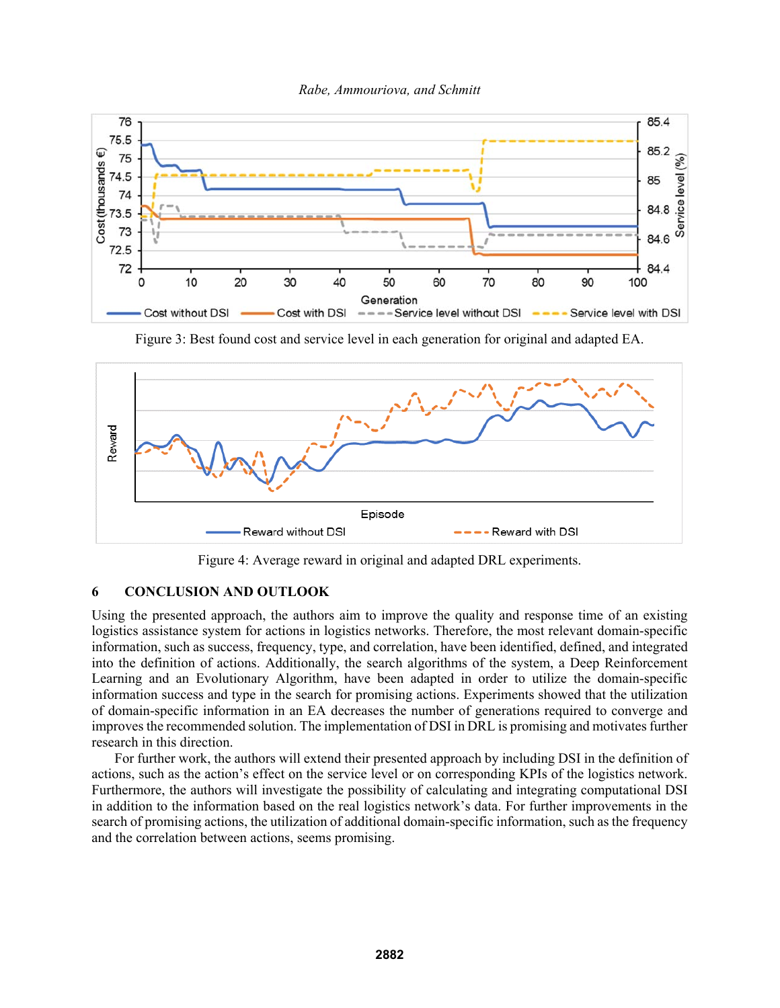



Figure 3: Best found cost and service level in each generation for original and adapted EA.



Figure 4: Average reward in original and adapted DRL experiments.

# **6 CONCLUSION AND OUTLOOK**

Using the presented approach, the authors aim to improve the quality and response time of an existing logistics assistance system for actions in logistics networks. Therefore, the most relevant domain-specific information, such as success, frequency, type, and correlation, have been identified, defined, and integrated into the definition of actions. Additionally, the search algorithms of the system, a Deep Reinforcement Learning and an Evolutionary Algorithm, have been adapted in order to utilize the domain-specific information success and type in the search for promising actions. Experiments showed that the utilization of domain-specific information in an EA decreases the number of generations required to converge and improves the recommended solution. The implementation of DSI in DRL is promising and motivates further research in this direction.

For further work, the authors will extend their presented approach by including DSI in the definition of actions, such as the action's effect on the service level or on corresponding KPIs of the logistics network. Furthermore, the authors will investigate the possibility of calculating and integrating computational DSI in addition to the information based on the real logistics network's data. For further improvements in the search of promising actions, the utilization of additional domain-specific information, such as the frequency and the correlation between actions, seems promising.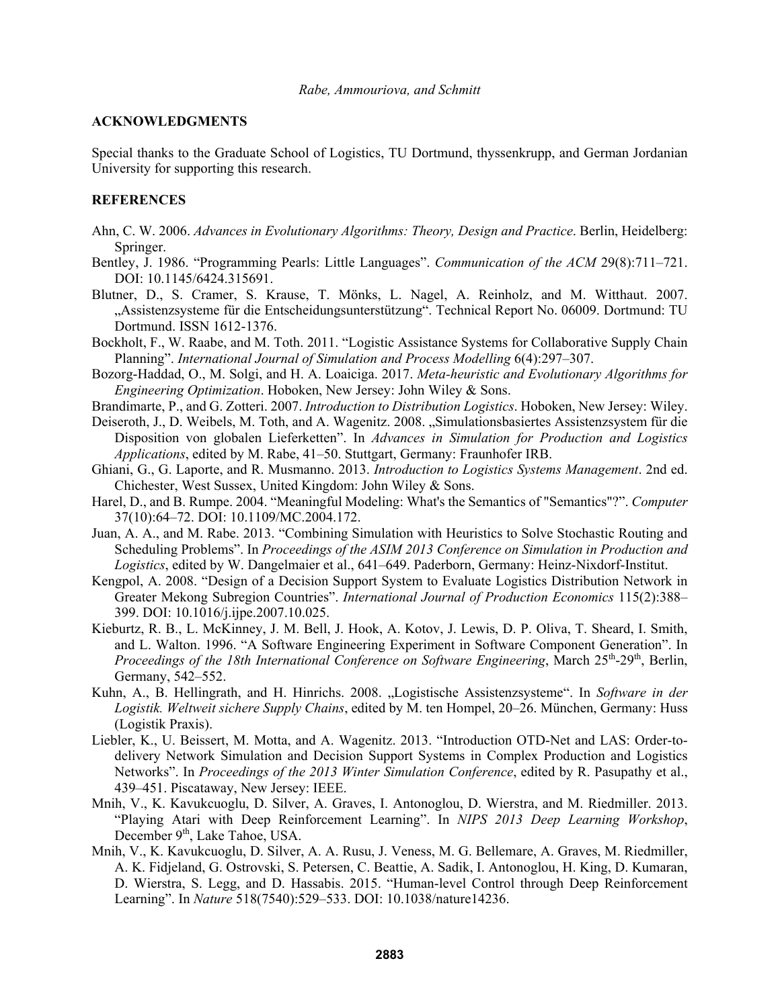## **ACKNOWLEDGMENTS**

Special thanks to the Graduate School of Logistics, TU Dortmund, thyssenkrupp, and German Jordanian University for supporting this research.

# **REFERENCES**

- Ahn, C. W. 2006. *Advances in Evolutionary Algorithms: Theory, Design and Practice*. Berlin, Heidelberg: Springer.
- Bentley, J. 1986. "Programming Pearls: Little Languages". *Communication of the ACM* 29(8):711–721. DOI: 10.1145/6424.315691.
- Blutner, D., S. Cramer, S. Krause, T. Mönks, L. Nagel, A. Reinholz, and M. Witthaut. 2007. "Assistenzsysteme für die Entscheidungsunterstützung". Technical Report No. 06009. Dortmund: TU Dortmund. ISSN 1612-1376.
- Bockholt, F., W. Raabe, and M. Toth. 2011. "Logistic Assistance Systems for Collaborative Supply Chain Planning". *International Journal of Simulation and Process Modelling* 6(4):297–307.
- Bozorg-Haddad, O., M. Solgi, and H. A. Loaiciga. 2017. *Meta-heuristic and Evolutionary Algorithms for Engineering Optimization*. Hoboken, New Jersey: John Wiley & Sons.
- Brandimarte, P., and G. Zotteri. 2007. *Introduction to Distribution Logistics*. Hoboken, New Jersey: Wiley.
- Deiseroth, J., D. Weibels, M. Toth, and A. Wagenitz. 2008. "Simulationsbasiertes Assistenzsystem für die Disposition von globalen Lieferketten". In *Advances in Simulation for Production and Logistics Applications*, edited by M. Rabe, 41–50. Stuttgart, Germany: Fraunhofer IRB.
- Ghiani, G., G. Laporte, and R. Musmanno. 2013. *Introduction to Logistics Systems Management*. 2nd ed. Chichester, West Sussex, United Kingdom: John Wiley & Sons.
- Harel, D., and B. Rumpe. 2004. "Meaningful Modeling: What's the Semantics of "Semantics"?". *Computer*  37(10):64–72. DOI: 10.1109/MC.2004.172.
- Juan, A. A., and M. Rabe. 2013. "Combining Simulation with Heuristics to Solve Stochastic Routing and Scheduling Problems". In *Proceedings of the ASIM 2013 Conference on Simulation in Production and Logistics*, edited by W. Dangelmaier et al., 641–649. Paderborn, Germany: Heinz-Nixdorf-Institut.
- Kengpol, A. 2008. "Design of a Decision Support System to Evaluate Logistics Distribution Network in Greater Mekong Subregion Countries". *International Journal of Production Economics* 115(2):388– 399. DOI: 10.1016/j.ijpe.2007.10.025.
- Kieburtz, R. B., L. McKinney, J. M. Bell, J. Hook, A. Kotov, J. Lewis, D. P. Oliva, T. Sheard, I. Smith, and L. Walton. 1996. "A Software Engineering Experiment in Software Component Generation". In *Proceedings of the 18th International Conference on Software Engineering*, March 25<sup>th</sup>-29<sup>th</sup>, Berlin, Germany, 542–552.
- Kuhn, A., B. Hellingrath, and H. Hinrichs. 2008. "Logistische Assistenzsysteme". In Software in der *Logistik. Weltweit sichere Supply Chains*, edited by M. ten Hompel, 20–26. München, Germany: Huss (Logistik Praxis).
- Liebler, K., U. Beissert, M. Motta, and A. Wagenitz. 2013. "Introduction OTD-Net and LAS: Order-todelivery Network Simulation and Decision Support Systems in Complex Production and Logistics Networks". In *Proceedings of the 2013 Winter Simulation Conference*, edited by R. Pasupathy et al., 439–451. Piscataway, New Jersey: IEEE.
- Mnih, V., K. Kavukcuoglu, D. Silver, A. Graves, I. Antonoglou, D. Wierstra, and M. Riedmiller. 2013. "Playing Atari with Deep Reinforcement Learning". In *NIPS 2013 Deep Learning Workshop*, December 9<sup>th</sup>, Lake Tahoe, USA.
- Mnih, V., K. Kavukcuoglu, D. Silver, A. A. Rusu, J. Veness, M. G. Bellemare, A. Graves, M. Riedmiller, A. K. Fidjeland, G. Ostrovski, S. Petersen, C. Beattie, A. Sadik, I. Antonoglou, H. King, D. Kumaran, D. Wierstra, S. Legg, and D. Hassabis. 2015. "Human-level Control through Deep Reinforcement Learning". In *Nature* 518(7540):529–533. DOI: 10.1038/nature14236.